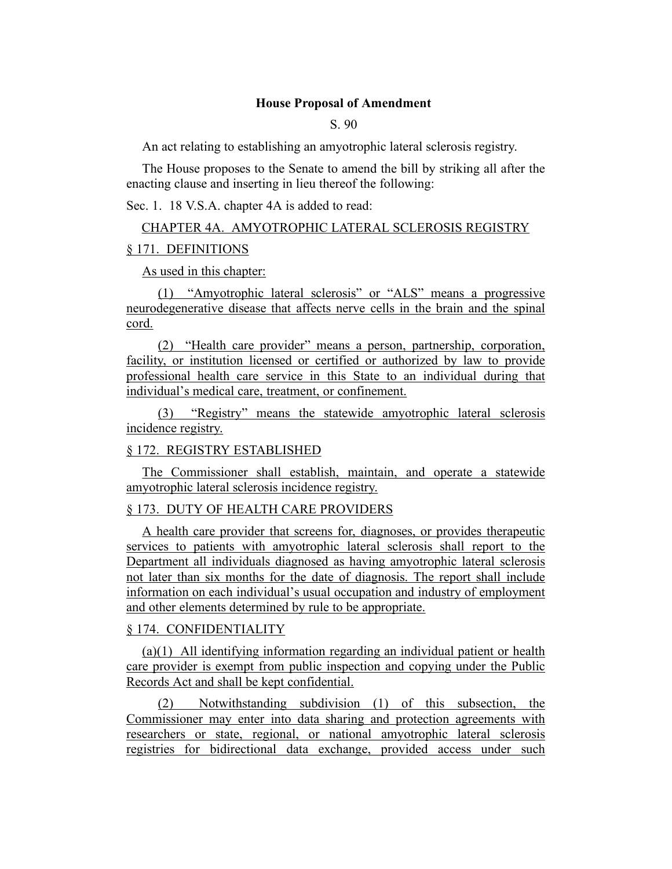#### **House Proposal of Amendment**

S. 90

An act relating to establishing an amyotrophic lateral sclerosis registry.

The House proposes to the Senate to amend the bill by striking all after the enacting clause and inserting in lieu thereof the following:

Sec. 1. 18 V.S.A. chapter 4A is added to read:

# CHAPTER 4A. AMYOTROPHIC LATERAL SCLEROSIS REGISTRY § 171. DEFINITIONS

As used in this chapter:

(1) "Amyotrophic lateral sclerosis" or "ALS" means a progressive neurodegenerative disease that affects nerve cells in the brain and the spinal cord.

(2) "Health care provider" means a person, partnership, corporation, facility, or institution licensed or certified or authorized by law to provide professional health care service in this State to an individual during that individual's medical care, treatment, or confinement.

(3) "Registry" means the statewide amyotrophic lateral sclerosis incidence registry.

#### § 172. REGISTRY ESTABLISHED

The Commissioner shall establish, maintain, and operate a statewide amyotrophic lateral sclerosis incidence registry.

# § 173. DUTY OF HEALTH CARE PROVIDERS

A health care provider that screens for, diagnoses, or provides therapeutic services to patients with amyotrophic lateral sclerosis shall report to the Department all individuals diagnosed as having amyotrophic lateral sclerosis not later than six months for the date of diagnosis. The report shall include information on each individual's usual occupation and industry of employment and other elements determined by rule to be appropriate.

#### § 174. CONFIDENTIALITY

(a)(1) All identifying information regarding an individual patient or health care provider is exempt from public inspection and copying under the Public Records Act and shall be kept confidential.

(2) Notwithstanding subdivision (1) of this subsection, the Commissioner may enter into data sharing and protection agreements with researchers or state, regional, or national amyotrophic lateral sclerosis registries for bidirectional data exchange, provided access under such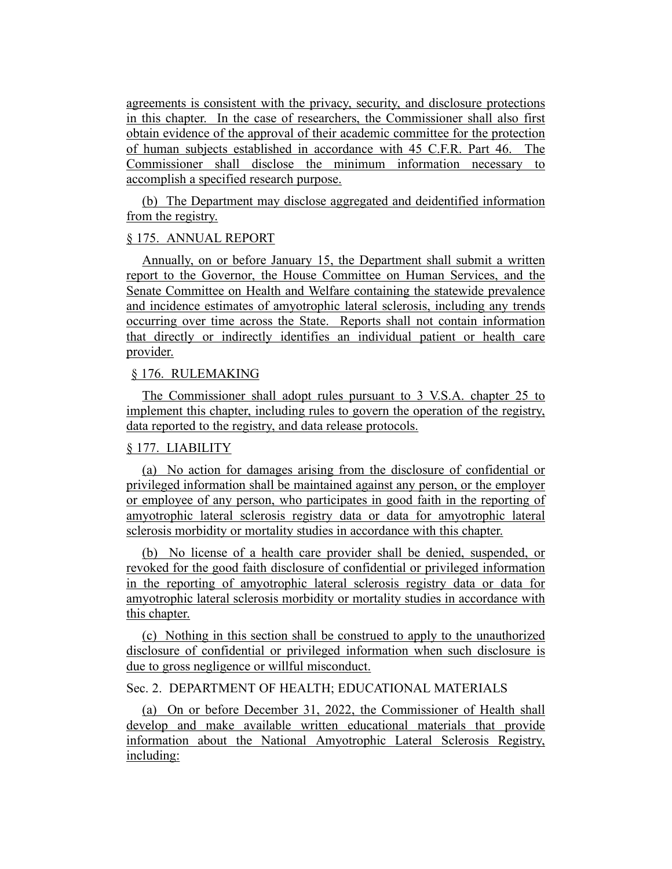agreements is consistent with the privacy, security, and disclosure protections in this chapter. In the case of researchers, the Commissioner shall also first obtain evidence of the approval of their academic committee for the protection of human subjects established in accordance with 45 C.F.R. Part 46. The Commissioner shall disclose the minimum information necessary to accomplish a specified research purpose.

(b) The Department may disclose aggregated and deidentified information from the registry.

## § 175. ANNUAL REPORT

Annually, on or before January 15, the Department shall submit a written report to the Governor, the House Committee on Human Services, and the Senate Committee on Health and Welfare containing the statewide prevalence and incidence estimates of amyotrophic lateral sclerosis, including any trends occurring over time across the State. Reports shall not contain information that directly or indirectly identifies an individual patient or health care provider.

## § 176. RULEMAKING

The Commissioner shall adopt rules pursuant to 3 V.S.A. chapter 25 to implement this chapter, including rules to govern the operation of the registry, data reported to the registry, and data release protocols.

## § 177. LIABILITY

(a) No action for damages arising from the disclosure of confidential or privileged information shall be maintained against any person, or the employer or employee of any person, who participates in good faith in the reporting of amyotrophic lateral sclerosis registry data or data for amyotrophic lateral sclerosis morbidity or mortality studies in accordance with this chapter.

(b) No license of a health care provider shall be denied, suspended, or revoked for the good faith disclosure of confidential or privileged information in the reporting of amyotrophic lateral sclerosis registry data or data for amyotrophic lateral sclerosis morbidity or mortality studies in accordance with this chapter.

(c) Nothing in this section shall be construed to apply to the unauthorized disclosure of confidential or privileged information when such disclosure is due to gross negligence or willful misconduct.

# Sec. 2. DEPARTMENT OF HEALTH; EDUCATIONAL MATERIALS

(a) On or before December 31, 2022, the Commissioner of Health shall develop and make available written educational materials that provide information about the National Amyotrophic Lateral Sclerosis Registry, including: